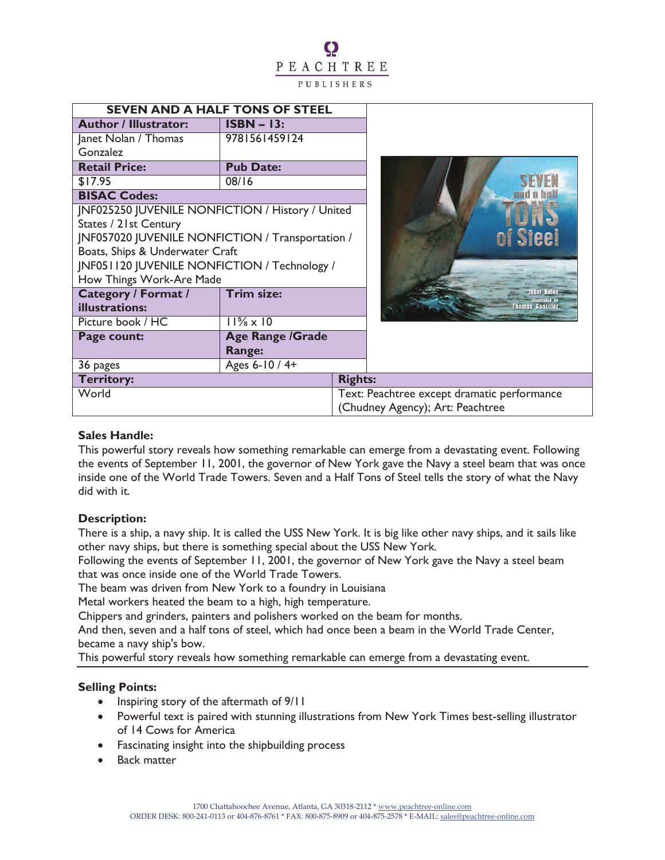# Q PEACHTREE PUBLISHERS

| <b>SEVEN AND A HALF TONS OF STEEL</b>                   |                           |                |                                             |
|---------------------------------------------------------|---------------------------|----------------|---------------------------------------------|
| <b>Author / Illustrator:</b>                            | $ISBN - 13:$              |                |                                             |
| Janet Nolan / Thomas                                    | 9781561459124             |                |                                             |
| Gonzalez                                                |                           |                |                                             |
| <b>Retail Price:</b>                                    | <b>Pub Date:</b>          |                |                                             |
| \$17.95                                                 | 08/16                     |                |                                             |
| <b>BISAC Codes:</b>                                     |                           |                |                                             |
| <b>JNF025250 JUVENILE NONFICTION / History / United</b> |                           |                |                                             |
| States / 21st Century                                   |                           |                |                                             |
| JNF057020 JUVENILE NONFICTION / Transportation /        |                           |                | of Steel                                    |
| Boats, Ships & Underwater Craft                         |                           |                |                                             |
| JNF051120 JUVENILE NONFICTION / Technology /            |                           |                |                                             |
| How Things Work-Are Made                                |                           |                |                                             |
| <b>Category / Format /</b>                              | <b>Trim size:</b>         |                | anet Nolan<br>lustrated by                  |
| illustrations:                                          |                           |                | homas Gonzalezi                             |
| Picture book / HC                                       | $11\frac{5}{8} \times 10$ |                |                                             |
| <b>Age Range /Grade</b><br>Page count:                  |                           |                |                                             |
|                                                         | Range:                    |                |                                             |
| 36 pages                                                | Ages 6-10 / 4+            |                |                                             |
| <b>Territory:</b>                                       |                           | <b>Rights:</b> |                                             |
| World                                                   |                           |                | Text: Peachtree except dramatic performance |
|                                                         |                           |                | (Chudney Agency); Art: Peachtree            |

### **Sales Handle:**

This powerful story reveals how something remarkable can emerge from a devastating event. Following the events of September 11, 2001, the governor of New York gave the Navy a steel beam that was once inside one of the World Trade Towers. Seven and a Half Tons of Steel tells the story of what the Navy did with it.

#### **Description:**

There is a ship, a navy ship. It is called the USS New York. It is big like other navy ships, and it sails like other navy ships, but there is something special about the USS New York.

Following the events of September 11, 2001, the governor of New York gave the Navy a steel beam that was once inside one of the World Trade Towers.

The beam was driven from New York to a foundry in Louisiana

Metal workers heated the beam to a high, high temperature.

Chippers and grinders, painters and polishers worked on the beam for months.

And then, seven and a half tons of steel, which had once been a beam in the World Trade Center, became a navy ship's bow.

This powerful story reveals how something remarkable can emerge from a devastating event.

## **Selling Points:**

- Inspiring story of the aftermath of  $9/11$
- · Powerful text is paired with stunning illustrations from New York Times best-selling illustrator of 14 Cows for America
- · Fascinating insight into the shipbuilding process
- **Back matter**